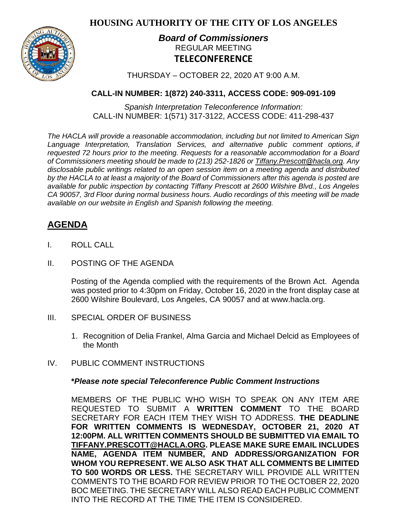**HOUSING AUTHORITY OF THE CITY OF LOS ANGELES**



## *Board of Commissioners* REGULAR MEETING **TELECONFERENCE**

THURSDAY – OCTOBER 22, 2020 AT 9:00 A.M.

## **CALL-IN NUMBER: 1(872) 240-3311, ACCESS CODE: 909-091-109**

*Spanish Interpretation Teleconference Information:* CALL-IN NUMBER: 1(571) 317-3122, ACCESS CODE: 411-298-437

*The HACLA will provide a reasonable accommodation, including but not limited to American Sign Language Interpretation, Translation Services, and alternative public comment options, if requested 72 hours prior to the meeting. Requests for a reasonable accommodation for a Board of Commissioners meeting should be made to (213) 252-1826 or Tiffany.Prescott@hacla.org. Any disclosable public writings related to an open session item on a meeting agenda and distributed by the HACLA to at least a majority of the Board of Commissioners after this agenda is posted are available for public inspection by contacting Tiffany Prescott at 2600 Wilshire Blvd., Los Angeles CA 90057, 3rd Floor during normal business hours. Audio recordings of this meeting will be made available on our website in English and Spanish following the meeting.*

# **AGENDA**

- I. ROLL CALL
- II. POSTING OF THE AGENDA

Posting of the Agenda complied with the requirements of the Brown Act. Agenda was posted prior to 4:30pm on Friday, October 16, 2020 in the front display case at 2600 Wilshire Boulevard, Los Angeles, CA 90057 and at [www.hacla.org.](http://www.hacla.org/)

- III. SPECIAL ORDER OF BUSINESS
	- 1. Recognition of Delia Frankel, Alma Garcia and Michael Delcid as Employees of the Month
- IV. PUBLIC COMMENT INSTRUCTIONS

### **\****Please note special Teleconference Public Comment Instructions*

MEMBERS OF THE PUBLIC WHO WISH TO SPEAK ON ANY ITEM ARE REQUESTED TO SUBMIT A **WRITTEN COMMENT** TO THE BOARD SECRETARY FOR EACH ITEM THEY WISH TO ADDRESS. **THE DEADLINE FOR WRITTEN COMMENTS IS WEDNESDAY, OCTOBER 21, 2020 AT 12:00PM. ALL WRITTEN COMMENTS SHOULD BE SUBMITTED VIA EMAIL TO [TIFFANY.PRESCOTT@HACLA.ORG.](mailto:TIFFANY.PRESCOTT@HACLA.ORG) PLEASE MAKE SURE EMAIL INCLUDES NAME, AGENDA ITEM NUMBER, AND ADDRESS/ORGANIZATION FOR WHOM YOU REPRESENT. WE ALSO ASK THAT ALL COMMENTS BE LIMITED TO 500 WORDS OR LESS.** THE SECRETARY WILL PROVIDE ALL WRITTEN COMMENTS TO THE BOARD FOR REVIEW PRIOR TO THE OCTOBER 22, 2020 BOC MEETING. THE SECRETARY WILL ALSO READ EACH PUBLIC COMMENT INTO THE RECORD AT THE TIME THE ITEM IS CONSIDERED.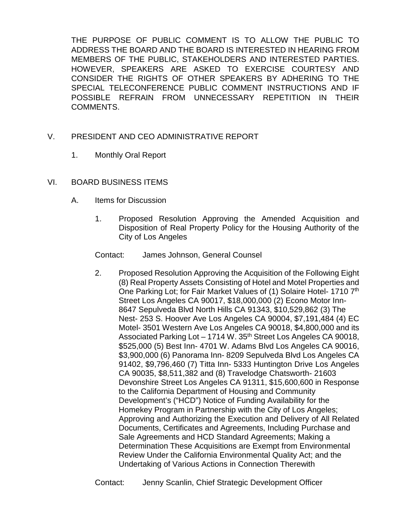THE PURPOSE OF PUBLIC COMMENT IS TO ALLOW THE PUBLIC TO ADDRESS THE BOARD AND THE BOARD IS INTERESTED IN HEARING FROM MEMBERS OF THE PUBLIC, STAKEHOLDERS AND INTERESTED PARTIES. HOWEVER, SPEAKERS ARE ASKED TO EXERCISE COURTESY AND CONSIDER THE RIGHTS OF OTHER SPEAKERS BY ADHERING TO THE SPECIAL TELECONFERENCE PUBLIC COMMENT INSTRUCTIONS AND IF POSSIBLE REFRAIN FROM UNNECESSARY REPETITION IN THEIR COMMENTS.

- V. PRESIDENT AND CEO ADMINISTRATIVE REPORT
	- 1. Monthly Oral Report
- VI. BOARD BUSINESS ITEMS
	- A. Items for Discussion
		- 1. Proposed Resolution Approving the Amended Acquisition and Disposition of Real Property Policy for the Housing Authority of the City of Los Angeles
		- Contact: James Johnson, General Counsel
		- 2. Proposed Resolution Approving the Acquisition of the Following Eight (8) Real Property Assets Consisting of Hotel and Motel Properties and One Parking Lot; for Fair Market Values of (1) Solaire Hotel- 1710 7th Street Los Angeles CA 90017, \$18,000,000 (2) Econo Motor Inn-8647 Sepulveda Blvd North Hills CA 91343, \$10,529,862 (3) The Nest- 253 S. Hoover Ave Los Angeles CA 90004, \$7,191,484 (4) EC Motel- 3501 Western Ave Los Angeles CA 90018, \$4,800,000 and its Associated Parking Lot - 1714 W. 35<sup>th</sup> Street Los Angeles CA 90018, \$525,000 (5) Best Inn- 4701 W. Adams Blvd Los Angeles CA 90016, \$3,900,000 (6) Panorama Inn- 8209 Sepulveda Blvd Los Angeles CA 91402, \$9,796,460 (7) Titta Inn- 5333 Huntington Drive Los Angeles CA 90035, \$8,511,382 and (8) Travelodge Chatsworth- 21603 Devonshire Street Los Angeles CA 91311, \$15,600,600 in Response to the California Department of Housing and Community Development's ("HCD") Notice of Funding Availability for the Homekey Program in Partnership with the City of Los Angeles; Approving and Authorizing the Execution and Delivery of All Related Documents, Certificates and Agreements, Including Purchase and Sale Agreements and HCD Standard Agreements; Making a Determination These Acquisitions are Exempt from Environmental Review Under the California Environmental Quality Act; and the Undertaking of Various Actions in Connection Therewith

Contact: Jenny Scanlin, Chief Strategic Development Officer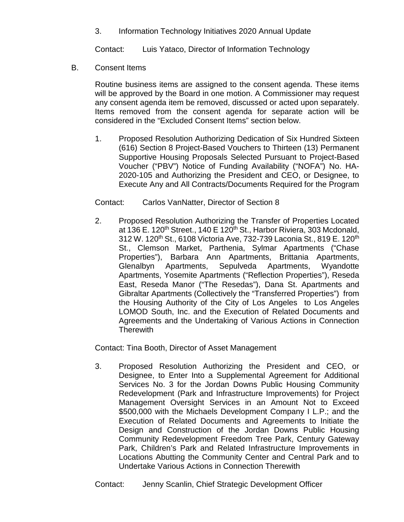3. Information Technology Initiatives 2020 Annual Update

Contact: Luis Yataco, Director of Information Technology

B. Consent Items

Routine business items are assigned to the consent agenda. These items will be approved by the Board in one motion. A Commissioner may request any consent agenda item be removed, discussed or acted upon separately. Items removed from the consent agenda for separate action will be considered in the "Excluded Consent Items" section below.

1. Proposed Resolution Authorizing Dedication of Six Hundred Sixteen (616) Section 8 Project-Based Vouchers to Thirteen (13) Permanent Supportive Housing Proposals Selected Pursuant to Project-Based Voucher ("PBV") Notice of Funding Availability ("NOFA") No. HA-2020-105 and Authorizing the President and CEO, or Designee, to Execute Any and All Contracts/Documents Required for the Program

#### Contact: Carlos VanNatter, Director of Section 8

2. Proposed Resolution Authorizing the Transfer of Properties Located at 136 E. 120<sup>th</sup> Street., 140 E 120<sup>th</sup> St., Harbor Riviera, 303 Mcdonald, 312 W. 120<sup>th</sup> St., 6108 Victoria Ave, 732-739 Laconia St., 819 E. 120<sup>th</sup> St., Clemson Market, Parthenia, Sylmar Apartments ("Chase Properties"), Barbara Ann Apartments, Brittania Apartments, Glenalbyn Apartments, Sepulveda Apartments, Wyandotte Apartments, Yosemite Apartments ("Reflection Properties"), Reseda East, Reseda Manor ("The Resedas"), Dana St. Apartments and Gibraltar Apartments (Collectively the "Transferred Properties") from the Housing Authority of the City of Los Angeles to Los Angeles LOMOD South, Inc. and the Execution of Related Documents and Agreements and the Undertaking of Various Actions in Connection **Therewith** 

Contact: Tina Booth, Director of Asset Management

3. Proposed Resolution Authorizing the President and CEO, or Designee, to Enter Into a Supplemental Agreement for Additional Services No. 3 for the Jordan Downs Public Housing Community Redevelopment (Park and Infrastructure Improvements) for Project Management Oversight Services in an Amount Not to Exceed \$500,000 with the Michaels Development Company I L.P.; and the Execution of Related Documents and Agreements to Initiate the Design and Construction of the Jordan Downs Public Housing Community Redevelopment Freedom Tree Park, Century Gateway Park, Children's Park and Related Infrastructure Improvements in Locations Abutting the Community Center and Central Park and to Undertake Various Actions in Connection Therewith